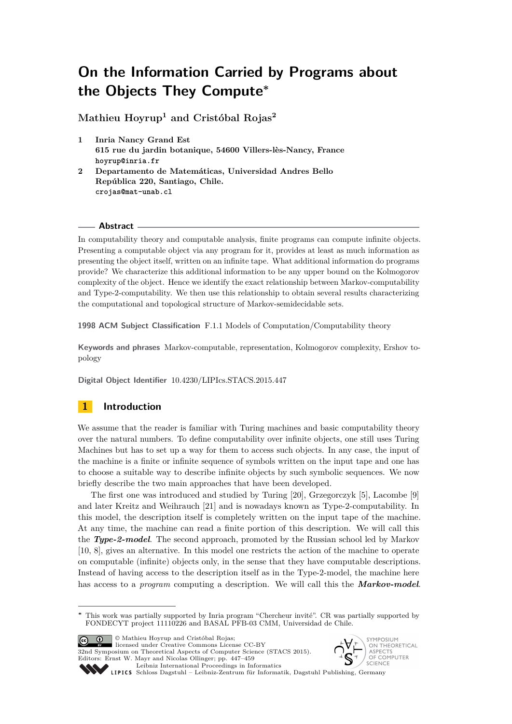**Mathieu Hoyrup<sup>1</sup> and Cristóbal Rojas<sup>2</sup>**

- **1 Inria Nancy Grand Est 615 rue du jardin botanique, 54600 Villers-lès-Nancy, France hoyrup@inria.fr**
- **2 Departamento de Matemáticas, Universidad Andres Bello República 220, Santiago, Chile. crojas@mat-unab.cl**

## **Abstract**

In computability theory and computable analysis, finite programs can compute infinite objects. Presenting a computable object via any program for it, provides at least as much information as presenting the object itself, written on an infinite tape. What additional information do programs provide? We characterize this additional information to be any upper bound on the Kolmogorov complexity of the object. Hence we identify the exact relationship between Markov-computability and Type-2-computability. We then use this relationship to obtain several results characterizing the computational and topological structure of Markov-semidecidable sets.

**1998 ACM Subject Classification** F.1.1 Models of Computation/Computability theory

**Keywords and phrases** Markov-computable, representation, Kolmogorov complexity, Ershov topology

**Digital Object Identifier** [10.4230/LIPIcs.STACS.2015.447](http://dx.doi.org/10.4230/LIPIcs.STACS.2015.447)

## **1 Introduction**

We assume that the reader is familiar with Turing machines and basic computability theory over the natural numbers. To define computability over infinite objects, one still uses Turing Machines but has to set up a way for them to access such objects. In any case, the input of the machine is a finite or infinite sequence of symbols written on the input tape and one has to choose a suitable way to describe infinite objects by such symbolic sequences. We now briefly describe the two main approaches that have been developed.

The first one was introduced and studied by Turing [\[20\]](#page-12-0), Grzegorczyk [\[5\]](#page-12-1), Lacombe [\[9\]](#page-12-2) and later Kreitz and Weihrauch [\[21\]](#page-12-3) and is nowadays known as Type-2-computability. In this model, the description itself is completely written on the input tape of the machine. At any time, the machine can read a finite portion of this description. We will call this the *Type-2-model*. The second approach, promoted by the Russian school led by Markov [\[10,](#page-12-4) [8\]](#page-12-5), gives an alternative. In this model one restricts the action of the machine to operate on computable (infinite) objects only, in the sense that they have computable descriptions. Instead of having access to the description itself as in the Type-2-model, the machine here has access to a *program* computing a description. We will call this the *Markov-model*.

© Mathieu Hoyrup and Cristóbal Rojas; licensed under Creative Commons License CC-BY 32nd Symposium on Theoretical Aspects of Computer Science (STACS 2015). Editors: Ernst W. Mayr and Nicolas Ollinger; pp. 447[–459](#page-12-6)



[Leibniz International Proceedings in Informatics](http://www.dagstuhl.de/lipics/) Leibniz international ruceedings in miorimetric<br>
LIPICS [Schloss Dagstuhl – Leibniz-Zentrum für Informatik, Dagstuhl Publishing, Germany](http://www.dagstuhl.de)

**<sup>∗</sup>** This work was partially supported by Inria program "Chercheur invité". CR was partially supported by FONDECYT project 11110226 and BASAL PFB-03 CMM, Universidad de Chile.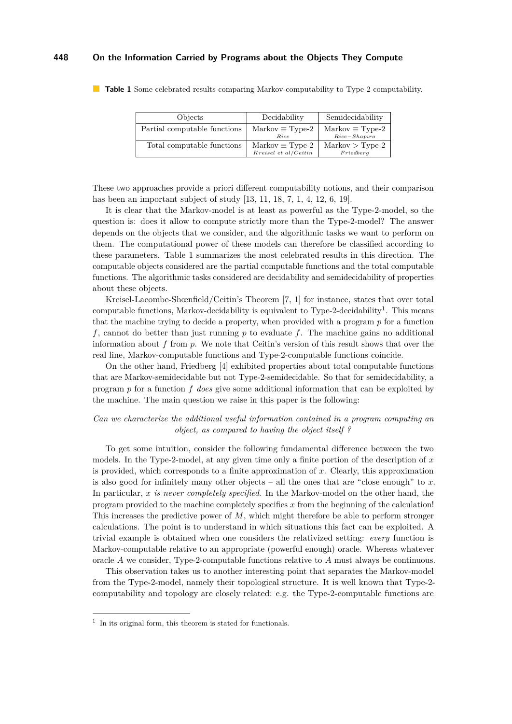| Objects                      | Decidability                                                 | Semidecidability                                       |
|------------------------------|--------------------------------------------------------------|--------------------------------------------------------|
| Partial computable functions | $\text{Markov} \equiv \text{Type-2}$<br>Rice                 | $\text{Markov} \equiv \text{Type-2}$<br>$Rice-Shapiro$ |
| Total computable functions   | $\text{Markov} \equiv \text{Type-2}$<br>Kreisel et al/Ceitin | $Markov > Type-2$<br>Friedberg                         |

<span id="page-1-0"></span>**Table 1** Some celebrated results comparing Markov-computability to Type-2-computability.

These two approaches provide a priori different computability notions, and their comparison has been an important subject of study [\[13,](#page-12-7) [11,](#page-12-8) [18,](#page-12-9) [7,](#page-12-10) [1,](#page-12-11) [4,](#page-12-12) [12,](#page-12-13) [6,](#page-12-14) [19\]](#page-12-15).

It is clear that the Markov-model is at least as powerful as the Type-2-model, so the question is: does it allow to compute strictly more than the Type-2-model? The answer depends on the objects that we consider, and the algorithmic tasks we want to perform on them. The computational power of these models can therefore be classified according to these parameters. Table [1](#page-1-0) summarizes the most celebrated results in this direction. The computable objects considered are the partial computable functions and the total computable functions. The algorithmic tasks considered are decidability and semidecidability of properties about these objects.

Kreisel-Lacombe-Shœnfield/Ceitin's Theorem [\[7,](#page-12-10) [1\]](#page-12-11) for instance, states that over total computable functions, Markov-decidability is equivalent to Type-2-decidability<sup>[1](#page-1-1)</sup>. This means that the machine trying to decide a property, when provided with a program *p* for a function *f*, cannot do better than just running *p* to evaluate *f*. The machine gains no additional information about *f* from *p*. We note that Ceitin's version of this result shows that over the real line, Markov-computable functions and Type-2-computable functions coincide.

On the other hand, Friedberg [\[4\]](#page-12-12) exhibited properties about total computable functions that are Markov-semidecidable but not Type-2-semidecidable. So that for semidecidability, a program *p* for a function *f does* give some additional information that can be exploited by the machine. The main question we raise in this paper is the following:

## *Can we characterize the additional useful information contained in a program computing an object, as compared to having the object itself ?*

To get some intuition, consider the following fundamental difference between the two models. In the Type-2-model, at any given time only a finite portion of the description of *x* is provided, which corresponds to a finite approximation of *x*. Clearly, this approximation is also good for infinitely many other objects – all the ones that are "close enough" to  $x$ . In particular, *x is never completely specified*. In the Markov-model on the other hand, the program provided to the machine completely specifies *x* from the beginning of the calculation! This increases the predictive power of *M*, which might therefore be able to perform stronger calculations. The point is to understand in which situations this fact can be exploited. A trivial example is obtained when one considers the relativized setting: *every* function is Markov-computable relative to an appropriate (powerful enough) oracle. Whereas whatever oracle *A* we consider, Type-2-computable functions relative to *A* must always be continuous.

This observation takes us to another interesting point that separates the Markov-model from the Type-2-model, namely their topological structure. It is well known that Type-2 computability and topology are closely related: e.g. the Type-2-computable functions are

<span id="page-1-1"></span><sup>&</sup>lt;sup>1</sup> In its original form, this theorem is stated for functionals.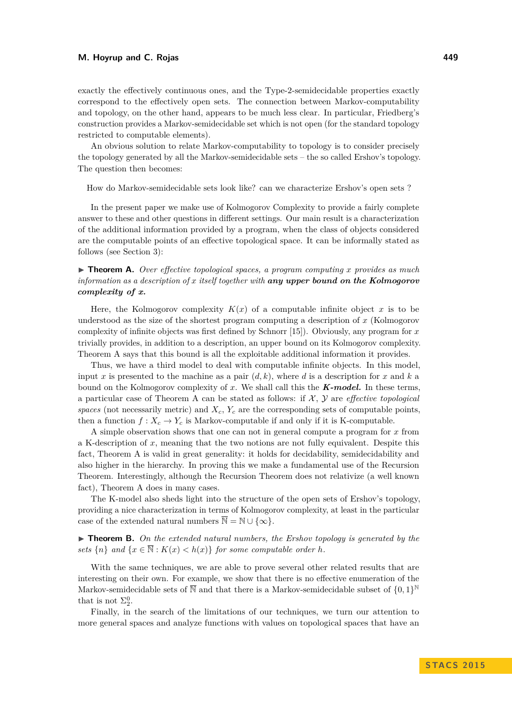exactly the effectively continuous ones, and the Type-2-semidecidable properties exactly correspond to the effectively open sets. The connection between Markov-computability and topology, on the other hand, appears to be much less clear. In particular, Friedberg's construction provides a Markov-semidecidable set which is not open (for the standard topology restricted to computable elements).

An obvious solution to relate Markov-computability to topology is to consider precisely the topology generated by all the Markov-semidecidable sets – the so called Ershov's topology. The question then becomes:

How do Markov-semidecidable sets look like? can we characterize Ershov's open sets ?

In the present paper we make use of Kolmogorov Complexity to provide a fairly complete answer to these and other questions in different settings. Our main result is a characterization of the additional information provided by a program, when the class of objects considered are the computable points of an effective topological space. It can be informally stated as follows (see Section [3\)](#page-4-0):

## ▶ **Theorem A.** *Over effective topological spaces, a program computing x provides as much information as a description of x itself together with any upper bound on the Kolmogorov complexity of x.*

Here, the Kolmogorov complexity  $K(x)$  of a computable infinite object x is to be understood as the size of the shortest program computing a description of *x* (Kolmogorov complexity of infinite objects was first defined by Schnorr [\[15\]](#page-12-16)). Obviously, any program for *x* trivially provides, in addition to a description, an upper bound on its Kolmogorov complexity. Theorem A says that this bound is all the exploitable additional information it provides.

Thus, we have a third model to deal with computable infinite objects. In this model, input *x* is presented to the machine as a pair  $(d, k)$ , where *d* is a description for *x* and *k* a bound on the Kolmogorov complexity of *x*. We shall call this the *K-model.* In these terms, a particular case of Theorem A can be stated as follows: if  $X$ ,  $Y$  are *effective topological spaces* (not necessarily metric) and  $X_c$ ,  $Y_c$  are the corresponding sets of computable points, then a function  $f: X_c \to Y_c$  is Markov-computable if and only if it is K-computable.

A simple observation shows that one can not in general compute a program for *x* from a K-description of *x*, meaning that the two notions are not fully equivalent. Despite this fact, Theorem A is valid in great generality: it holds for decidability, semidecidability and also higher in the hierarchy. In proving this we make a fundamental use of the Recursion Theorem. Interestingly, although the Recursion Theorem does not relativize (a well known fact), Theorem A does in many cases.

The K-model also sheds light into the structure of the open sets of Ershov's topology, providing a nice characterization in terms of Kolmogorov complexity, at least in the particular case of the extended natural numbers  $\overline{\mathbb{N}} = \mathbb{N} \cup \{\infty\}.$ 

 $\triangleright$  **Theorem B.** On the extended natural numbers, the Ershov topology is generated by the *sets*  $\{n\}$  *and*  $\{x \in \overline{\mathbb{N}} : K(x) < h(x)\}$  *for some computable order h.* 

With the same techniques, we are able to prove several other related results that are interesting on their own. For example, we show that there is no effective enumeration of the Markov-semidecidable sets of  $\overline{\mathbb{N}}$  and that there is a Markov-semidecidable subset of  $\{0,1\}^{\mathbb{N}}$ that is not  $\Sigma_2^0$ .

Finally, in the search of the limitations of our techniques, we turn our attention to more general spaces and analyze functions with values on topological spaces that have an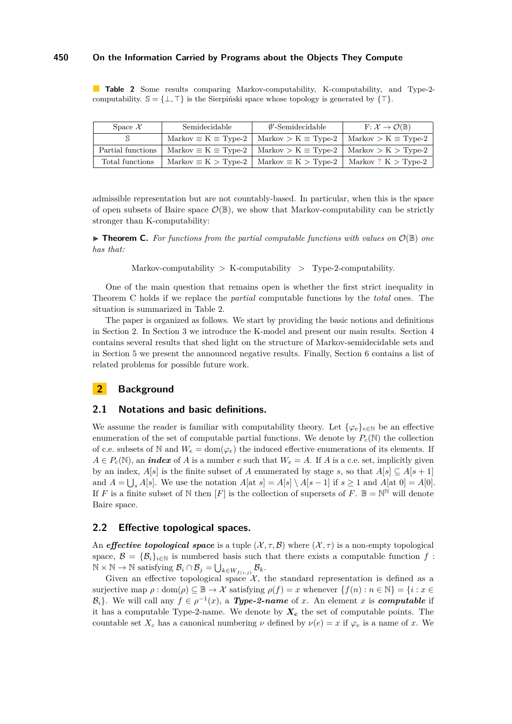<span id="page-3-0"></span>**Table 2** Some results comparing Markov-computability, K-computability, and Type-2 computability.  $\mathbb{S} = \{\perp, \top\}$  is the Sierpiński space whose topology is generated by  $\{\top\}.$ 

| Space $\mathcal{X}$ | Semidecidable                                        | $\emptyset'$ -Semidecidable                             | $F: \mathcal{X} \to \mathcal{O}(\mathbb{B})$                                        |
|---------------------|------------------------------------------------------|---------------------------------------------------------|-------------------------------------------------------------------------------------|
|                     | $\text{Markov} \equiv \text{K} \equiv \text{Type-2}$ |                                                         | $\text{Markov} > K \equiv \text{Type-2}$   $\text{Markov} > K \equiv \text{Type-2}$ |
| Partial functions   |                                                      |                                                         | Markov $\equiv K \equiv Type-2$   Markov $>K \equiv Type-2$   Markov $>K > Type-2$  |
| Total functions     |                                                      | Markov $\equiv K$ > Type-2   Markov $\equiv K$ > Type-2 | Markov? $K > Type-2$                                                                |

admissible representation but are not countably-based. In particular, when this is the space of open subsets of Baire space  $\mathcal{O}(\mathbb{B})$ , we show that Markov-computability can be strictly stronger than K-computability:

**Findmen C.** For functions from the partial computable functions with values on  $\mathcal{O}(\mathbb{B})$  one *has that:*

Markov-computability  $>$  K-computability  $>$  Type-2-computability.

One of the main question that remains open is whether the first strict inequality in Theorem C holds if we replace the *partial* computable functions by the *total* ones. The situation is summarized in Table [2.](#page-3-0)

The paper is organized as follows. We start by providing the basic notions and definitions in Section 2. In Section 3 we introduce the K-model and present our main results. Section 4 contains several results that shed light on the structure of Markov-semidecidable sets and in Section 5 we present the announced negative results. Finally, Section 6 contains a list of related problems for possible future work.

## **2 Background**

## **2.1 Notations and basic definitions.**

We assume the reader is familiar with computability theory. Let  $\{\varphi_e\}_{e\in\mathbb{N}}$  be an effective enumeration of the set of computable partial functions. We denote by  $P_c(\mathbb{N})$  the collection of c.e. subsets of N and  $W_e = \text{dom}(\varphi_e)$  the induced effective enumerations of its elements. If  $A \in P_c(\mathbb{N})$ , an *index* of *A* is a number *e* such that  $W_e = A$ . If *A* is a c.e. set, implicitly given by an index,  $A[s]$  is the finite subset of *A* enumerated by stage *s*, so that  $A[s] \subseteq A[s+1]$ and  $A = \bigcup_{s} A[s]$ . We use the notation  $A[$ at  $s] = A[s] \setminus A[s-1]$  if  $s \geq 1$  and  $A[$ at  $0] = A[0]$ . If *F* is a finite subset of N then [*F*] is the collection of supersets of *F*.  $\mathbb{B} = \mathbb{N}^{\mathbb{N}}$  will denote Baire space.

#### **2.2 Effective topological spaces.**

An *effective topological space* is a tuple  $(\mathcal{X}, \tau, \mathcal{B})$  where  $(\mathcal{X}, \tau)$  is a non-empty topological space,  $\mathcal{B} = {\mathcal{B}_i}_{i \in \mathbb{N}}$  is numbered basis such that there exists a computable function f:  $\mathbb{N} \times \mathbb{N} \to \mathbb{N}$  satisfying  $\mathcal{B}_i \cap \mathcal{B}_j = \bigcup_{k \in W_{f(i,j)}} \mathcal{B}_k$ .

Given an effective topological space  $\mathcal{X}$ , the standard representation is defined as a surjective map  $\rho : \text{dom}(\rho) \subseteq \mathbb{B} \to \mathcal{X}$  satisfying  $\rho(f) = x$  whenever  $\{f(n) : n \in \mathbb{N}\} = \{i : x \in \mathbb{R}\}$  $\mathcal{B}_i$ . We will call any  $f \in \rho^{-1}(x)$ , a *Type-2-name* of *x*. An element *x* is *computable* if it has a computable Type-2-name. We denote by *X<sup>c</sup>* the set of computable points. The countable set  $X_c$  has a canonical numbering  $\nu$  defined by  $\nu(e) = x$  if  $\varphi_e$  is a name of *x*. We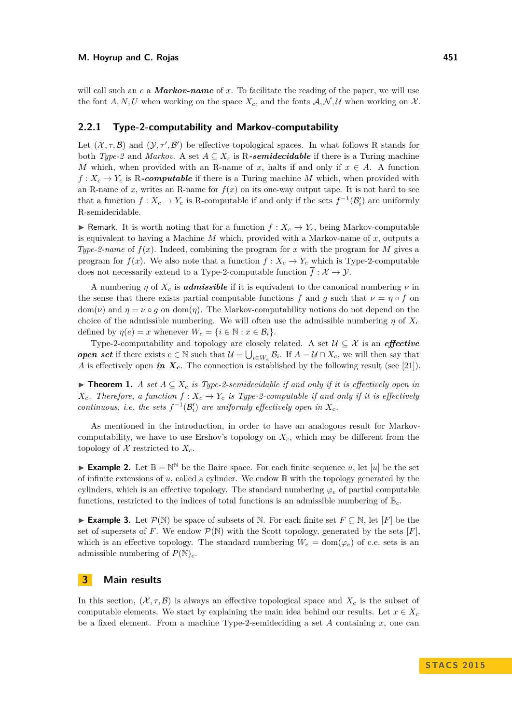will call such an *e* a *Markov-name* of *x*. To facilitate the reading of the paper, we will use the font A, N, U when working on the space  $X_c$ , and the fonts  $A, N, U$  when working on X.

#### **2.2.1 Type-2-computability and Markov-computability**

Let  $(\mathcal{X}, \tau, \mathcal{B})$  and  $(\mathcal{Y}, \tau', \mathcal{B}')$  be effective topological spaces. In what follows R stands for both *Type-2* and *Markov*. A set  $A \subseteq X_c$  is R-**semidecidable** if there is a Turing machine *M* which, when provided with an R-name of *x*, halts if and only if  $x \in A$ . A function  $f: X_c \to Y_c$  is R-computable if there is a Turing machine *M* which, when provided with an R-name of x, writes an R-name for  $f(x)$  on its one-way output tape. It is not hard to see that a function  $f: X_c \to Y_c$  is R-computable if and only if the sets  $f^{-1}(\mathcal{B}'_i)$  are uniformly R-semidecidable.

**F** Remark. It is worth noting that for a function  $f: X_c \to Y_c$ , being Markov-computable is equivalent to having a Machine *M* which, provided with a Markov-name of *x*, outputs a *Type-2-name* of  $f(x)$ . Indeed, combining the program for *x* with the program for *M* gives a program for  $f(x)$ . We also note that a function  $f: X_c \to Y_c$  which is Type-2-computable does not necessarily extend to a Type-2-computable function  $\overline{f} : \mathcal{X} \to \mathcal{Y}$ .

A numbering *η* of  $X_c$  is *admissible* if it is equivalent to the canonical numbering  $\nu$  in the sense that there exists partial computable functions *f* and *g* such that  $\nu = \eta \circ f$  on dom( $\nu$ ) and  $\eta = \nu \circ q$  on dom( $\eta$ ). The Markov-computability notions do not depend on the choice of the admissible numbering. We will often use the admissible numbering  $\eta$  of  $X_c$ defined by  $\eta(e) = x$  whenever  $W_e = \{i \in \mathbb{N} : x \in \mathcal{B}_i\}.$ 

Type-2-computability and topology are closely related. A set  $\mathcal{U} \subseteq \mathcal{X}$  is an *effective open set* if there exists  $e \in \mathbb{N}$  such that  $\mathcal{U} = \bigcup_{i \in W_e} \mathcal{B}_i$ . If  $A = \mathcal{U} \cap X_c$ , we will then say that *A* is effectively open *in*  $X_c$ . The connection is established by the following result (see [\[21\]](#page-12-3)).

▶ **Theorem 1.** *A set*  $A ⊆ X_c$  *is Type-2-semidecidable if and only if it is effectively open in*  $X_c$ *. Therefore, a function*  $f: X_c \to Y_c$  *is Type-2-computable if and only if it is effectively continuous, i.e. the sets*  $f^{-1}(\mathcal{B}'_i)$  *are uniformly effectively open in*  $X_c$ *.* 

As mentioned in the introduction, in order to have an analogous result for Markovcomputability, we have to use Ershov's topology on *Xc*, which may be different from the topology of  $\mathcal X$  restricted to  $X_c$ .

**Example 2.** Let  $\mathbb{B} = \mathbb{N}^{\mathbb{N}}$  be the Baire space. For each finite sequence *u*, let [*u*] be the set of infinite extensions of  $u$ , called a cylinder. We endow  $\mathbb B$  with the topology generated by the cylinders, which is an effective topology. The standard numbering  $\varphi_e$  of partial computable functions, restricted to the indices of total functions is an admissible numbering of B*c*.

**Example 3.** Let  $\mathcal{P}(\mathbb{N})$  be space of subsets of  $\mathbb{N}$ . For each finite set  $F \subseteq \mathbb{N}$ , let  $[F]$  be the set of supersets of *F*. We endow  $\mathcal{P}(\mathbb{N})$  with the Scott topology, generated by the sets [*F*], which is an effective topology. The standard numbering  $W_e = \text{dom}(\varphi_e)$  of c.e. sets is an admissible numbering of  $P(\mathbb{N})_c$ .

## <span id="page-4-0"></span>**3 Main results**

In this section,  $(X, \tau, \mathcal{B})$  is always an effective topological space and  $X_c$  is the subset of computable elements. We start by explaining the main idea behind our results. Let  $x \in X_c$ be a fixed element. From a machine Type-2-semideciding a set *A* containing *x*, one can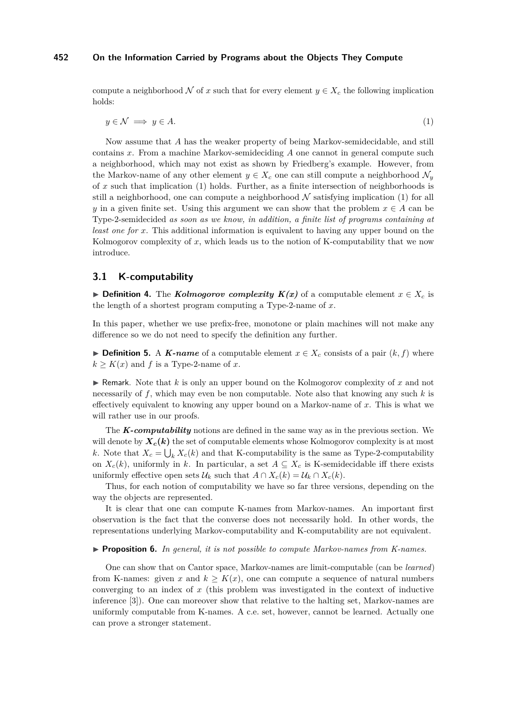<span id="page-5-0"></span>compute a neighborhood N of x such that for every element  $y \in X_c$  the following implication holds:

$$
y \in \mathcal{N} \implies y \in A. \tag{1}
$$

Now assume that *A* has the weaker property of being Markov-semidecidable, and still contains *x*. From a machine Markov-semideciding *A* one cannot in general compute such a neighborhood, which may not exist as shown by Friedberg's example. However, from the Markov-name of any other element  $y \in X_c$  one can still compute a neighborhood  $\mathcal{N}_y$ of *x* such that implication [\(1\)](#page-5-0) holds. Further, as a finite intersection of neighborhoods is still a neighborhood, one can compute a neighborhood  $N$  satisfying implication [\(1\)](#page-5-0) for all *y* in a given finite set. Using this argument we can show that the problem  $x \in A$  can be Type-2-semidecided *as soon as we know, in addition, a finite list of programs containing at least one for x*. This additional information is equivalent to having any upper bound on the Kolmogorov complexity of *x*, which leads us to the notion of K-computability that we now introduce.

## **3.1 K-computability**

**► Definition 4.** The *Kolmogorov complexity*  $K(x)$  of a computable element  $x \in X_c$  is the length of a shortest program computing a Type-2-name of *x*.

In this paper, whether we use prefix-free, monotone or plain machines will not make any difference so we do not need to specify the definition any further.

**► Definition 5.** A *K*-name of a computable element  $x \in X_c$  consists of a pair  $(k, f)$  where  $k > K(x)$  and *f* is a Type-2-name of *x*.

 $\triangleright$  Remark. Note that *k* is only an upper bound on the Kolmogorov complexity of *x* and not necessarily of *f*, which may even be non computable. Note also that knowing any such *k* is effectively equivalent to knowing any upper bound on a Markov-name of *x*. This is what we will rather use in our proofs.

The *K-computability* notions are defined in the same way as in the previous section. We will denote by  $X_c(k)$  the set of computable elements whose Kolmogorov complexity is at most *k*. Note that  $X_c = \bigcup_k X_c(k)$  and that K-computability is the same as Type-2-computability on  $X_c(k)$ , uniformly in k. In particular, a set  $A \subseteq X_c$  is K-semidecidable iff there exists uniformly effective open sets  $\mathcal{U}_k$  such that  $A \cap X_c(k) = \mathcal{U}_k \cap X_c(k)$ .

Thus, for each notion of computability we have so far three versions, depending on the way the objects are represented.

It is clear that one can compute K-names from Markov-names. An important first observation is the fact that the converse does not necessarily hold. In other words, the representations underlying Markov-computability and K-computability are not equivalent.

#### <span id="page-5-1"></span>▶ **Proposition 6.** *In general, it is not possible to compute Markov-names from K-names.*

One can show that on Cantor space, Markov-names are limit-computable (can be *learned*) from K-names: given x and  $k \geq K(x)$ , one can compute a sequence of natural numbers converging to an index of *x* (this problem was investigated in the context of inductive inference [\[3\]](#page-12-17)). One can moreover show that relative to the halting set, Markov-names are uniformly computable from K-names. A c.e. set, however, cannot be learned. Actually one can prove a stronger statement.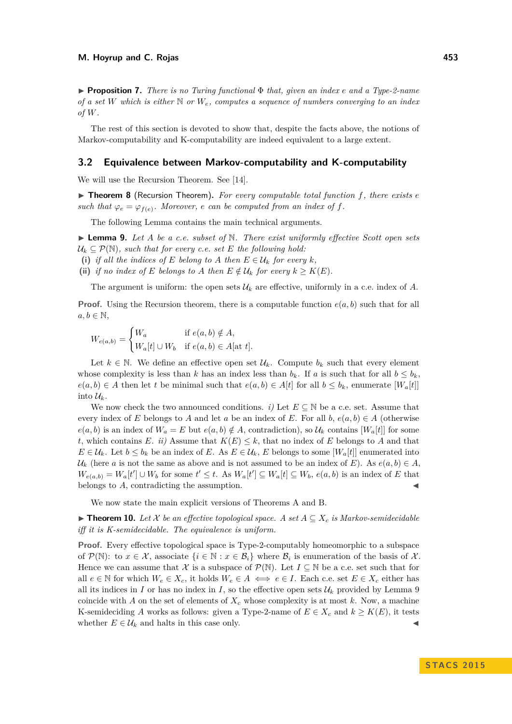I **Proposition 7.** *There is no Turing functional* Φ *that, given an index e and a Type-2-name of a set W which is either* N *or We, computes a sequence of numbers converging to an index of W.*

The rest of this section is devoted to show that, despite the facts above, the notions of Markov-computability and K-computability are indeed equivalent to a large extent.

#### **3.2 Equivalence between Markov-computability and K-computability**

We will use the Recursion Theorem. See [\[14\]](#page-12-18).

▶ **Theorem 8** (Recursion Theorem). For every computable total function f, there exists *e such that*  $\varphi_e = \varphi_{f(e)}$ . Moreover, *e can be computed from an index of f.* 

The following Lemma contains the main technical arguments.

<span id="page-6-0"></span> $\blacktriangleright$  **Lemma 9.** Let A be a c.e. subset of N. There exist uniformly effective Scott open sets  $U_k \subseteq \mathcal{P}(\mathbb{N})$ , such that for every c.e. set E the following hold:

- (i) *if all the indices of*  $E$  *belong to*  $A$  *then*  $E \in \mathcal{U}_k$  *for every*  $k$ *,*
- (ii) *if no index of E belongs to A then*  $E \notin \mathcal{U}_k$  *for every*  $k \geq K(E)$ *.*

The argument is uniform: the open sets  $\mathcal{U}_k$  are effective, uniformly in a c.e. index of A.

**Proof.** Using the Recursion theorem, there is a computable function  $e(a, b)$  such that for all  $a, b \in \mathbb{N}$ ,

$$
W_{e(a,b)} = \begin{cases} W_a & \text{if } e(a,b) \notin A, \\ W_a[t] \cup W_b & \text{if } e(a,b) \in A[\text{at } t]. \end{cases}
$$

Let  $k \in \mathbb{N}$ . We define an effective open set  $\mathcal{U}_k$ . Compute  $b_k$  such that every element whose complexity is less than *k* has an index less than  $b_k$ . If *a* is such that for all  $b \leq b_k$ , *e*(*a, b*) ∈ *A* then let *t* be minimal such that *e*(*a, b*) ∈ *A*[*t*] for all *b* ≤ *b<sub>k</sub>*, enumerate [*W<sub>a</sub>*[*t*]] into  $\mathcal{U}_k$ .

We now check the two announced conditions. *i*) Let  $E \subseteq \mathbb{N}$  be a c.e. set. Assume that every index of *E* belongs to *A* and let *a* be an index of *E*. For all *b*,  $e(a, b) \in A$  (otherwise  $e(a, b)$  is an index of  $W_a = E$  but  $e(a, b) \notin A$ , contradiction), so  $\mathcal{U}_k$  contains  $[W_a[t]]$  for some *t*, which contains *E*. *ii*) Assume that  $K(E) \leq k$ , that no index of *E* belongs to *A* and that  $E \in \mathcal{U}_k$ . Let  $b \leq b_k$  be an index of *E*. As  $E \in \mathcal{U}_k$ , *E* belongs to some  $|W_a[t]|$  enumerated into  $U_k$  (here *a* is not the same as above and is not assumed to be an index of *E*). As  $e(a, b) \in A$ ,  $W_{e(a,b)} = W_a[t'] \cup W_b$  for some  $t' \leq t$ . As  $W_a[t'] \subseteq W_a[t] \subseteq W_b$ ,  $e(a,b)$  is an index of E that belongs to  $A$ , contradicting the assumption.

We now state the main explicit versions of Theorems A and B.

<span id="page-6-1"></span>▶ **Theorem 10.** Let  $X$  be an effective topological space. A set  $A \subseteq X_c$  is Markov-semidecidable *iff it is K-semidecidable. The equivalence is uniform.*

**Proof.** Every effective topological space is Type-2-computably homeomorphic to a subspace of  $\mathcal{P}(\mathbb{N})$ : to  $x \in \mathcal{X}$ , associate  $\{i \in \mathbb{N} : x \in \mathcal{B}_i\}$  where  $\mathcal{B}_i$  is enumeration of the basis of  $\mathcal{X}$ . Hence we can assume that X is a subspace of  $\mathcal{P}(\mathbb{N})$ . Let  $I \subseteq \mathbb{N}$  be a c.e. set such that for all  $e \in \mathbb{N}$  for which  $W_e \in X_c$ , it holds  $W_e \in A \iff e \in I$ . Each c.e. set  $E \in X_c$  either has all its indices in *I* or has no index in *I*, so the effective open sets  $\mathcal{U}_k$  provided by Lemma [9](#page-6-0) coincide with *A* on the set of elements of  $X_c$  whose complexity is at most *k*. Now, a machine K-semideciding *A* works as follows: given a Type-2-name of  $E \in X_c$  and  $k \geq K(E)$ , it tests whether  $E \in \mathcal{U}_k$  and halts in this case only.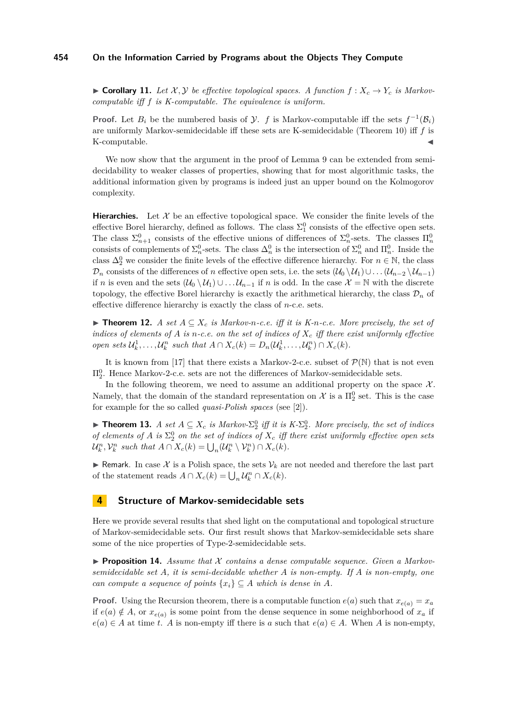<span id="page-7-0"></span>▶ **Corollary 11.** Let  $\mathcal{X}, \mathcal{Y}$  be effective topological spaces. A function  $f : X_c \to Y_c$  is Markov*computable iff f is K-computable. The equivalence is uniform.*

**Proof.** Let  $B_i$  be the numbered basis of  $\mathcal{Y}$ . *f* is Markov-computable iff the sets  $f^{-1}(\mathcal{B}_i)$ are uniformly Markov-semidecidable iff these sets are K-semidecidable (Theorem [10\)](#page-6-1) iff *f* is K-computable.

We now show that the argument in the proof of Lemma [9](#page-6-0) can be extended from semidecidability to weaker classes of properties, showing that for most algorithmic tasks, the additional information given by programs is indeed just an upper bound on the Kolmogorov complexity.

**Hierarchies.** Let  $\mathcal{X}$  be an effective topological space. We consider the finite levels of the effective Borel hierarchy, defined as follows. The class  $\Sigma_1^0$  consists of the effective open sets. The class  $\Sigma_{n+1}^0$  consists of the effective unions of differences of  $\Sigma_n^0$ -sets. The classes  $\Pi_n^0$ consists of complements of  $\Sigma_n^0$ -sets. The class  $\Delta_n^0$  is the intersection of  $\Sigma_n^0$  and  $\Pi_n^0$ . Inside the class  $\Delta_2^0$  we consider the finite levels of the effective difference hierarchy. For  $n \in \mathbb{N}$ , the class  $\mathcal{D}_n$  consists of the differences of *n* effective open sets, i.e. the sets  $(\mathcal{U}_0 \setminus \mathcal{U}_1) \cup \ldots (\mathcal{U}_{n-2} \setminus \mathcal{U}_{n-1})$ if *n* is even and the sets  $(U_0 \setminus U_1) \cup \ldots \cup U_{n-1}$  if *n* is odd. In the case  $\mathcal{X} = \mathbb{N}$  with the discrete topology, the effective Borel hierarchy is exactly the arithmetical hierarchy, the class  $\mathcal{D}_n$  of effective difference hierarchy is exactly the class of *n*-c.e. sets.

<span id="page-7-1"></span>▶ **Theorem 12.** *A set*  $A ⊆ X_c$  *is Markov-n-c.e. iff it is K-n-c.e. More precisely, the set of indices of elements of A is n-c.e. on the set of indices of X<sup>c</sup> iff there exist uniformly effective* open sets  $\mathcal{U}_k^1, \ldots, \mathcal{U}_k^n$  such that  $A \cap X_c(k) = D_n(\mathcal{U}_k^1, \ldots, \mathcal{U}_k^n) \cap X_c(k)$ .

It is known from [\[17\]](#page-12-19) that there exists a Markov-2-c.e. subset of  $\mathcal{P}(\mathbb{N})$  that is not even  $\Pi^0_2$ . Hence Markov-2-c.e. sets are not the differences of Markov-semidecidable sets.

In the following theorem, we need to assume an additional property on the space  $\mathcal{X}$ . Namely, that the domain of the standard representation on  $\mathcal{X}$  is a  $\Pi_2^0$  set. This is the case for example for the so called *quasi-Polish spaces* (see [\[2\]](#page-12-20)).

**Theorem 13.** *A set*  $A \subseteq X_c$  *is Markov-* $\Sigma^0_2$  *iff it is K-* $\Sigma^0_2$ *. More precisely, the set of indices of elements of*  $A$  *is*  $\Sigma^0_2$  *on the set of indices of*  $X_c$  *iff there exist uniformly effective open sets*  $\mathcal{U}_k^n, \mathcal{V}_k^n$  such that  $A \cap X_c(k) = \bigcup_n (\mathcal{U}_k^n \setminus \mathcal{V}_k^n) \cap X_c(k)$ .

**F** Remark. In case X is a Polish space, the sets  $V_k$  are not needed and therefore the last part of the statement reads  $A \cap X_c(k) = \bigcup_n \mathcal{U}_k^n \cap X_c(k)$ .

#### **4 Structure of Markov-semidecidable sets**

Here we provide several results that shed light on the computational and topological structure of Markov-semidecidable sets. Our first result shows that Markov-semidecidable sets share some of the nice properties of Type-2-semidecidable sets.

**Proposition 14.** Assume that X contains a dense computable sequence. Given a Markov*semidecidable set A, it is semi-decidable whether A is non-empty. If A is non-empty, one can compute a sequence of points*  $\{x_i\} \subseteq A$  *which is dense in A*.

**Proof.** Using the Recursion theorem, there is a computable function  $e(a)$  such that  $x_{e(a)} = x_a$ if  $e(a) \notin A$ , or  $x_{e(a)}$  is some point from the dense sequence in some neighborhood of  $x_a$  if  $e(a) \in A$  at time *t*. *A* is non-empty iff there is *a* such that  $e(a) \in A$ . When *A* is non-empty,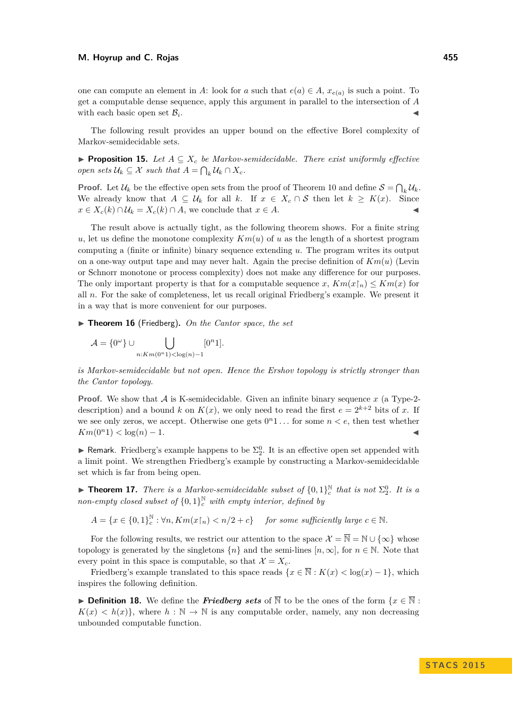one can compute an element in *A*: look for *a* such that  $e(a) \in A$ ,  $x_{e(a)}$  is such a point. To get a computable dense sequence, apply this argument in parallel to the intersection of *A* with each basic open set  $\mathcal{B}_i$ . . John Stein Stein Stein Stein Stein Stein Stein Stein Stein Stein Stein Stein Stein Stein Stein Stein Stein S<br>John Stein Stein Stein Stein Stein Stein Stein Stein Stein Stein Stein Stein Stein Stein Stein Stein Stein Ste

The following result provides an upper bound on the effective Borel complexity of Markov-semidecidable sets.

**Proposition 15.** Let  $A \subseteq X_c$  be Markov-semidecidable. There exist uniformly effective *open sets*  $U_k \subseteq \mathcal{X}$  *such that*  $A = \bigcap_k U_k \cap X_c$ *.* 

**Proof.** Let  $\mathcal{U}_k$  be the effective open sets from the proof of Theorem [10](#page-6-1) and define  $\mathcal{S} = \bigcap_k \mathcal{U}_k$ . We already know that  $A \subseteq \mathcal{U}_k$  for all  $k$ . If  $x \in X_c \cap \mathcal{S}$  then let  $k \geq K(x)$ . Since  $x \in X_c(k) \cap \mathcal{U}_k = X_c(k) \cap A$ , we conclude that  $x \in A$ .

The result above is actually tight, as the following theorem shows. For a finite string *u*, let us define the monotone complexity  $Km(u)$  of *u* as the length of a shortest program computing a (finite or infinite) binary sequence extending *u*. The program writes its output on a one-way output tape and may never halt. Again the precise definition of *Km*(*u*) (Levin or Schnorr monotone or process complexity) does not make any difference for our purposes. The only important property is that for a computable sequence *x*,  $Km(x) \leq Km(x)$  for all *n*. For the sake of completeness, let us recall original Friedberg's example. We present it in a way that is more convenient for our purposes.

▶ Theorem 16 (Friedberg). On the Cantor space, the set

$$
\mathcal{A} = \{0^{\omega}\} \cup \bigcup_{n: Km(0^n 1) < \log(n) - 1} [0^n 1].
$$

*is Markov-semidecidable but not open. Hence the Ershov topology is strictly stronger than the Cantor topology.*

**Proof.** We show that  $\mathcal A$  is K-semidecidable. Given an infinite binary sequence  $x$  (a Type-2description) and a bound *k* on  $K(x)$ , we only need to read the first  $e = 2^{k+2}$  bits of *x*. If we see only zeros, we accept. Otherwise one gets  $0<sup>n</sup>1...$  for some  $n < e$ , then test whether  $Km(0^n1) < log(n) - 1.$ 

Example happens to be  $\Sigma^0_2$ . It is an effective open set appended with a limit point. We strengthen Friedberg's example by constructing a Markov-semidecidable set which is far from being open.

**Find 17.** *There is a Markov-semidecidable subset of*  $\{0,1\}^{\mathbb{N}}_{c}$  *that is not*  $\Sigma_{2}^{0}$ *. It is a non-empty closed subset of*  $\{0,1\}^{\mathbb{N}}_c$  *with empty interior, defined by* 

 $A = \{x \in \{0, 1\}\}\subset_{c}^{\mathbb{N}}$  $c^{\mathbb{N}}$  :  $\forall n, Km(x\upharpoonright n) < n/2+c$  *for some sufficiently large*  $c \in \mathbb{N}$ *.* 

For the following results, we restrict our attention to the space  $\mathcal{X} = \overline{\mathbb{N}} = \mathbb{N} \cup \{\infty\}$  whose topology is generated by the singletons  $\{n\}$  and the semi-lines  $[n,\infty]$ , for  $n \in \mathbb{N}$ . Note that every point in this space is computable, so that  $\mathcal{X} = X_c$ .

Friedberg's example translated to this space reads  $\{x \in \overline{\mathbb{N}} : K(x) < \log(x) - 1\}$ , which inspires the following definition.

**► Definition 18.** We define the *Friedberg sets* of  $\overline{N}$  to be the ones of the form  $\{x \in \overline{N} :$  $K(x) < h(x)$ , where  $h : \mathbb{N} \to \mathbb{N}$  is any computable order, namely, any non decreasing unbounded computable function.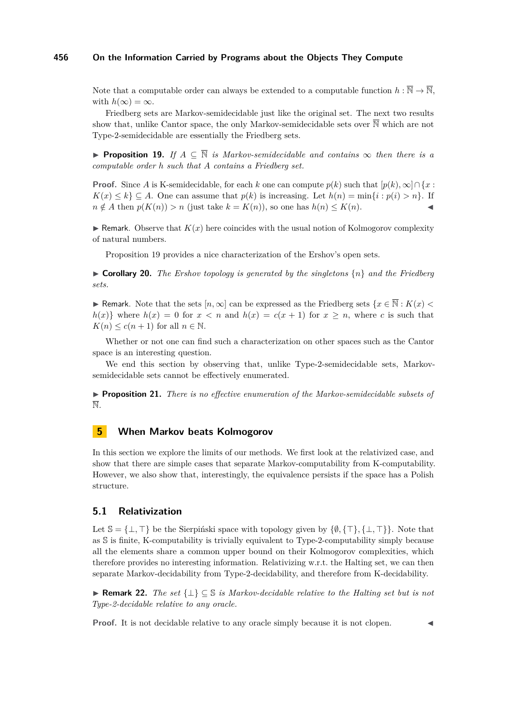Note that a computable order can always be extended to a computable function  $h: \overline{\mathbb{N}} \to \overline{\mathbb{N}}$ , with  $h(\infty) = \infty$ .

Friedberg sets are Markov-semidecidable just like the original set. The next two results show that, unlike Cantor space, the only Markov-semidecidable sets over  $\overline{\mathbb{N}}$  which are not Type-2-semidecidable are essentially the Friedberg sets.

<span id="page-9-0"></span>**► Proposition 19.** If  $A \subseteq \overline{\mathbb{N}}$  *is Markov-semidecidable and contains*  $\infty$  *then there is a computable order h such that A contains a Friedberg set.*

**Proof.** Since *A* is K-semidecidable, for each *k* one can compute  $p(k)$  such that  $[p(k), \infty] \cap \{x :$ *K*(*x*) ≤ *k*} ⊆ *A*. One can assume that *p*(*k*) is increasing. Let *h*(*n*) = min{*i* : *p*(*i*) > *n*}. If  $n \notin A$  then  $p(K(n)) > n$  (just take  $k = K(n)$ ), so one has  $h(n) \leq K(n)$ .

**In Remark.** Observe that  $K(x)$  here coincides with the usual notion of Kolmogorov complexity of natural numbers.

Proposition [19](#page-9-0) provides a nice characterization of the Ershov's open sets.

 $\triangleright$  **Corollary 20.** *The Ershov topology is generated by the singletons*  $\{n\}$  *and the Friedberg sets.*

► Remark. Note that the sets  $[n,\infty]$  can be expressed as the Friedberg sets  $\{x \in \mathbb{N} : K(x)$  $h(x)$  where  $h(x) = 0$  for  $x < n$  and  $h(x) = c(x + 1)$  for  $x \ge n$ , where *c* is such that  $K(n) \leq c(n+1)$  for all  $n \in \mathbb{N}$ .

Whether or not one can find such a characterization on other spaces such as the Cantor space is an interesting question.

We end this section by observing that, unlike Type-2-semidecidable sets, Markovsemidecidable sets cannot be effectively enumerated.

**Proposition 21.** *There is no effective enumeration of the Markov-semidecidable subsets of* N*.*

## **5 When Markov beats Kolmogorov**

In this section we explore the limits of our methods. We first look at the relativized case, and show that there are simple cases that separate Markov-computability from K-computability. However, we also show that, interestingly, the equivalence persists if the space has a Polish structure.

### **5.1 Relativization**

Let  $\mathbb{S} = \{\perp, \top\}$  be the Sierpiński space with topology given by  $\{\emptyset, \{\top\}, \{\perp, \top\}\}\.$  Note that as S is finite, K-computability is trivially equivalent to Type-2-computability simply because all the elements share a common upper bound on their Kolmogorov complexities, which therefore provides no interesting information. Relativizing w.r.t. the Halting set, we can then separate Markov-decidability from Type-2-decidability, and therefore from K-decidability.

<span id="page-9-1"></span>I **Remark 22.** *The set* {⊥} ⊆ S *is Markov-decidable relative to the Halting set but is not Type-2-decidable relative to any oracle.*

**Proof.** It is not decidable relative to any oracle simply because it is not clopen.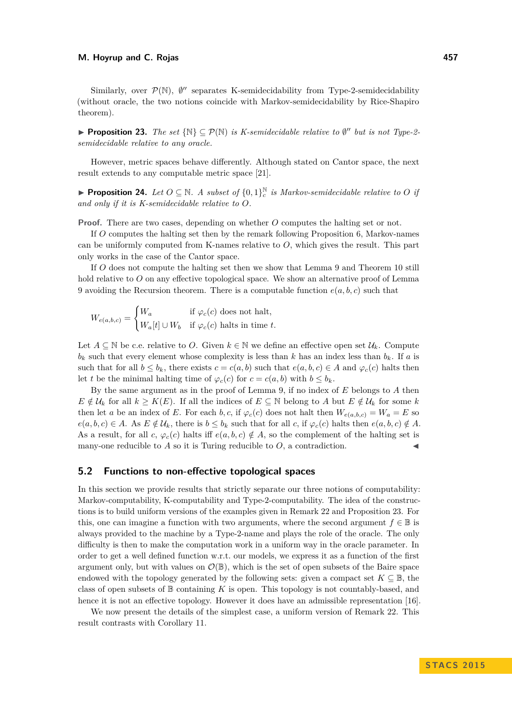Similarly, over  $\mathcal{P}(\mathbb{N})$ ,  $\emptyset''$  separates K-semidecidability from Type-2-semidecidability (without oracle, the two notions coincide with Markov-semidecidability by Rice-Shapiro theorem).

<span id="page-10-0"></span>**► Proposition 23.** *The set*  $\{N\} \subseteq \mathcal{P}(N)$  *is K-semidecidable relative to*  $\emptyset$ <sup>*''*</sup> *but is not Type-2semidecidable relative to any oracle.*

However, metric spaces behave differently. Although stated on Cantor space, the next result extends to any computable metric space [\[21\]](#page-12-3).

<span id="page-10-1"></span>**Proposition 24.** Let  $O \subseteq \mathbb{N}$ . A subset of  $\{0,1\}^{\mathbb{N}}_c$  is Markov-semidecidable relative to O if *and only if it is K-semidecidable relative to O.*

**Proof.** There are two cases, depending on whether *O* computes the halting set or not.

If *O* computes the halting set then by the remark following Proposition [6,](#page-5-1) Markov-names can be uniformly computed from K-names relative to *O*, which gives the result. This part only works in the case of the Cantor space.

If *O* does not compute the halting set then we show that Lemma [9](#page-6-0) and Theorem [10](#page-6-1) still hold relative to O on any effective topological space. We show an alternative proof of Lemma [9](#page-6-0) avoiding the Recursion theorem. There is a computable function  $e(a, b, c)$  such that

$$
W_{e(a,b,c)} = \begin{cases} W_a & \text{if } \varphi_c(c) \text{ does not halt,} \\ W_a[t] \cup W_b & \text{if } \varphi_c(c) \text{ halts in time } t. \end{cases}
$$

Let  $A \subseteq \mathbb{N}$  be c.e. relative to *O*. Given  $k \in \mathbb{N}$  we define an effective open set  $\mathcal{U}_k$ . Compute  $b_k$  such that every element whose complexity is less than k has an index less than  $b_k$ . If a is such that for all  $b \leq b_k$ , there exists  $c = c(a, b)$  such that  $e(a, b, c) \in A$  and  $\varphi_c(c)$  halts then let *t* be the minimal halting time of  $\varphi_c(c)$  for  $c = c(a, b)$  with  $b \leq b_k$ .

By the same argument as in the proof of Lemma [9,](#page-6-0) if no index of *E* belongs to *A* then  $E \notin \mathcal{U}_k$  for all  $k \geq K(E)$ . If all the indices of  $E \subseteq \mathbb{N}$  belong to *A* but  $E \notin \mathcal{U}_k$  for some *k* then let *a* be an index of *E*. For each *b*, *c*, if  $\varphi_c(c)$  does not halt then  $W_{e(a,b,c)} = W_a = E$  so  $e(a, b, c) \in A$ . As  $E \notin \mathcal{U}_k$ , there is  $b \leq b_k$  such that for all *c*, if  $\varphi_c(c)$  halts then  $e(a, b, c) \notin A$ . As a result, for all *c*,  $\varphi_c(c)$  halts iff  $e(a, b, c) \notin A$ , so the complement of the halting set is many-one reducible to  $A$  so it is Turing reducible to  $O$ , a contradiction.

#### **5.2 Functions to non-effective topological spaces**

In this section we provide results that strictly separate our three notions of computability: Markov-computability, K-computability and Type-2-computability. The idea of the constructions is to build uniform versions of the examples given in Remark [22](#page-9-1) and Proposition [23.](#page-10-0) For this, one can imagine a function with two arguments, where the second argument  $f \in \mathbb{B}$  is always provided to the machine by a Type-2-name and plays the role of the oracle. The only difficulty is then to make the computation work in a uniform way in the oracle parameter. In order to get a well defined function w.r.t. our models, we express it as a function of the first argument only, but with values on  $\mathcal{O}(\mathbb{B})$ , which is the set of open subsets of the Baire space endowed with the topology generated by the following sets: given a compact set  $K \subseteq \mathbb{B}$ , the class of open subsets of  $\mathbb B$  containing  $K$  is open. This topology is not countably-based, and hence it is not an effective topology. However it does have an admissible representation [\[16\]](#page-12-21).

We now present the details of the simplest case, a uniform version of Remark [22.](#page-9-1) This result contrasts with Corollary [11.](#page-7-0)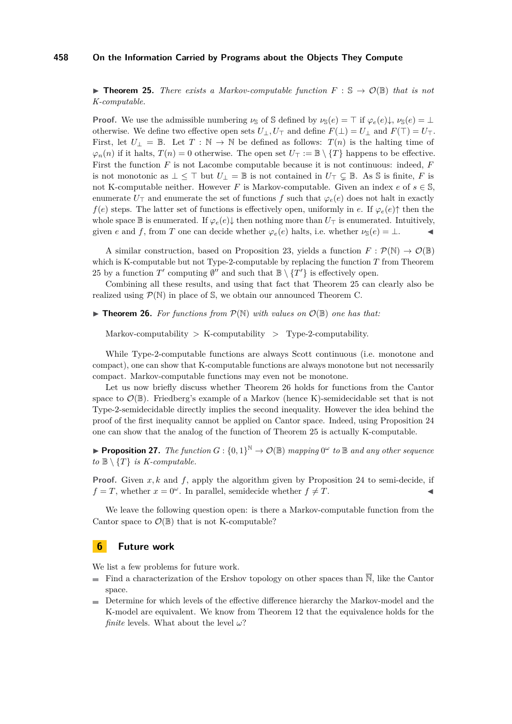<span id="page-11-0"></span>**► Theorem 25.** *There exists a Markov-computable function*  $F : \mathbb{S} \to \mathcal{O}(\mathbb{B})$  *that is not K-computable.*

**Proof.** We use the admissible numbering  $\nu_{\mathbb{S}}$  of S defined by  $\nu_{\mathbb{S}}(e) = \top$  if  $\varphi_e(e)\downarrow$ ,  $\nu_{\mathbb{S}}(e) = \bot$ otherwise. We define two effective open sets  $U_{\perp}, U_{\perp}$  and define  $F(\perp) = U_{\perp}$  and  $F(\top) = U_{\top}$ . First, let  $U_{\perp} = \mathbb{B}$ . Let  $T : \mathbb{N} \to \mathbb{N}$  be defined as follows:  $T(n)$  is the halting time of  $\varphi_n(n)$  if it halts,  $T(n) = 0$  otherwise. The open set  $U_\top := \mathbb{B} \setminus \{T\}$  happens to be effective. First the function *F* is not Lacombe computable because it is not continuous: indeed, *F* is not monotonic as  $\perp \leq \top$  but  $U_{\perp} = \mathbb{B}$  is not contained in  $U_{\top} \subsetneq \mathbb{B}$ . As S is finite, F is not K-computable neither. However *F* is Markov-computable. Given an index *e* of  $s \in \mathbb{S}$ , enumerate  $U<sub>T</sub>$  and enumerate the set of functions *f* such that  $\varphi<sub>e</sub>(e)$  does not halt in exactly *f*(*e*) steps. The latter set of functions is effectively open, uniformly in *e*. If  $\varphi_e(e)$ <sup> $\uparrow$ </sup> then the whole space  $\mathbb B$  is enumerated. If  $\varphi_e(e)\downarrow$  then nothing more than  $U_\top$  is enumerated. Intuitively, given *e* and *f*, from *T* one can decide whether  $\varphi_e(e)$  halts, i.e. whether  $\nu_s(e) = \bot$ .

A similar construction, based on Proposition [23,](#page-10-0) yields a function  $F : \mathcal{P}(\mathbb{N}) \to \mathcal{O}(\mathbb{B})$ which is K-computable but not Type-2-computable by replacing the function *T* from Theorem [25](#page-11-0) by a function  $T'$  computing  $\emptyset''$  and such that  $\mathbb{B} \setminus \{T'\}$  is effectively open.

Combining all these results, and using that fact that Theorem [25](#page-11-0) can clearly also be realized using  $\mathcal{P}(\mathbb{N})$  in place of S, we obtain our announced Theorem C.

<span id="page-11-1"></span> $\triangleright$  **Theorem 26.** For functions from  $\mathcal{P}(\mathbb{N})$  with values on  $\mathcal{O}(\mathbb{B})$  one has that:

Markov-computability  $>$  K-computability  $>$  Type-2-computability.

While Type-2-computable functions are always Scott continuous (i.e. monotone and compact), one can show that K-computable functions are always monotone but not necessarily compact. Markov-computable functions may even not be monotone.

Let us now briefly discuss whether Theorem [26](#page-11-1) holds for functions from the Cantor space to  $\mathcal{O}(\mathbb{B})$ . Friedberg's example of a Markov (hence K)-semidecidable set that is not Type-2-semidecidable directly implies the second inequality. However the idea behind the proof of the first inequality cannot be applied on Cantor space. Indeed, using Proposition [24](#page-10-1) one can show that the analog of the function of Theorem [25](#page-11-0) is actually K-computable.

**Proposition 27.** *The function*  $G: \{0,1\}^{\mathbb{N}} \to \mathcal{O}(\mathbb{B})$  *mapping*  $0^{\omega}$  *to*  $\mathbb{B}$  *and any other sequence*  $to \mathbb{B} \setminus \{T\}$  *is K-computable.* 

**Proof.** Given *x, k* and *f*, apply the algorithm given by Proposition [24](#page-10-1) to semi-decide, if  $f = T$ , whether  $x = 0^\omega$ . In parallel, semidecide whether  $f \neq T$ .

We leave the following question open: is there a Markov-computable function from the Cantor space to  $\mathcal{O}(\mathbb{B})$  that is not K-computable?

## **6 Future work**

We list a few problems for future work.

- Find a characterization of the Ershov topology on other spaces than  $\overline{N}$ , like the Cantor space.
- Determine for which levels of the effective difference hierarchy the Markov-model and the K-model are equivalent. We know from Theorem [12](#page-7-1) that the equivalence holds for the *finite* levels. What about the level *ω*?